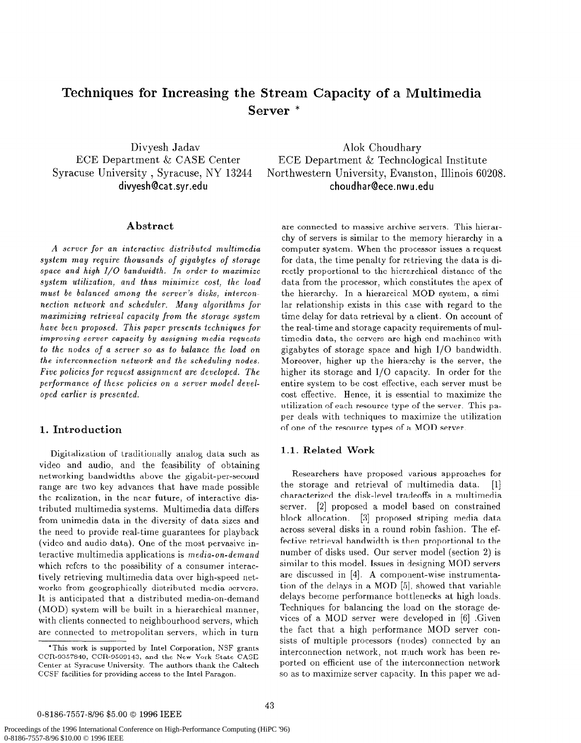# Techniques for Increasing the Stream Capacity of a Multimedia Server \*

Divyesh Jadav ECE Department & CASE Center Syracuse University , Syracuse, NY 13244 divyesh@cat.syr.edu

# Abstract

A server for an interactive distributed multimedia system may require thousands of gigabytes of storage space and high I/O bandwidth. In order to maximize system utilization, and thus minimize cost, the load must be balanced among the server's disks, interconnection network and scheduler. Many algorithms for maximizing retrieval capacity from the storage system have been proposed. This paper presents techniques for improving server capacity by assigning media requests to the nodes of a server so as to balance the load on the interconnection network and the scheduling nodes. Five policies for request assignment are developed. The performance of these policies on a server model developed earlier is presented.

# 1. Introduction

Digitalization of traditionally analog data such as video and audio, and the feasibility of obtaining networking bandwidths above the gigabit-per-second range are two key advances that have made possible the realization, in the near future, of interactive distributed multimedia systems. Multimedia data differs from unimedia data in the diversity of data sizes and the need to provide real-time guarantees for playback (video and audio data). One of the most pervasive interactive multimedia applications is media-on-demand which refers to the possibility of a consumer interactively retrieving multimedia data over high-speed networks from geographically distributed media servers. It is anticipated that a distributed media-on-demand (MOD) system will be built in a hierarchical manner, with clients connected to neighbourhood servers, which are connected to metropolitan servers, which in turn

Alok Choudhary ECE Department  $&$  Technological Institute Northwestern University, Evanston, Illinois 60208. choudhar@ece.nwu.edu

are connected to massive archive servers. This hierarchy of servers is similar to the memory hierarchy in a computer system. When the processor issues a request for data, the time penalty for retrieving the data is directly proportional to the hierarchical distance of the data from the processor, which constitutes the apex of the hierarchy. In a hierarcical MOD system, a similar relationship exists in this case with regard to the time delay for data retrieval by a client. On account of the real-time and storage capacity requirements of multimedia data, the servers are high-end machines with gigabytes of storage space and high I/O bandwidth. Moreover, higher up the hierarchy is the server, the higher its storage and I/O capacity. In order for the entire system to be cost effective, each server must be cost effective. Hence, it is essential to maximize the utilization of each resource type of the server. This paper deals with techniques to maximize the utilization of one of the resource types of a MOD server.

# 1.1. Related Work

Researchers have proposed various approaches for the storage and retrieval of multimedia data.  $[1]$ characterized the disk-level tradeoffs in a multimedia server. [2] proposed a model based on constrained block allocation. [3] proposed striping media data across several disks in a round robin fashion. The effective retrieval bandwidth is then proportional to the number of disks used. Our server model (section 2) is similar to this model. Issues in designing MOD servers are discussed in [4]. A component-wise instrumentation of the delays in a MOD [5], showed that variable delays become performance bottlenecks at high loads. Techniques for balancing the load on the storage devices of a MOD server were developed in [B] .Given the fact that a high performance MOD server consists of multiple processors (nodes) connected by an interconnection network, not much work has been reported on efficient use of the interconnection network so as to maximize server capacity. In this paper we ad-

<sup>\*</sup>This work is supported by Intel Corporation, NSF grants CCR-9357840, CCR-9509143, and the New York State CASE Center at Syracuse University. The authors thank the Caltech CCSF facilities for providing access to the Intel Paragon.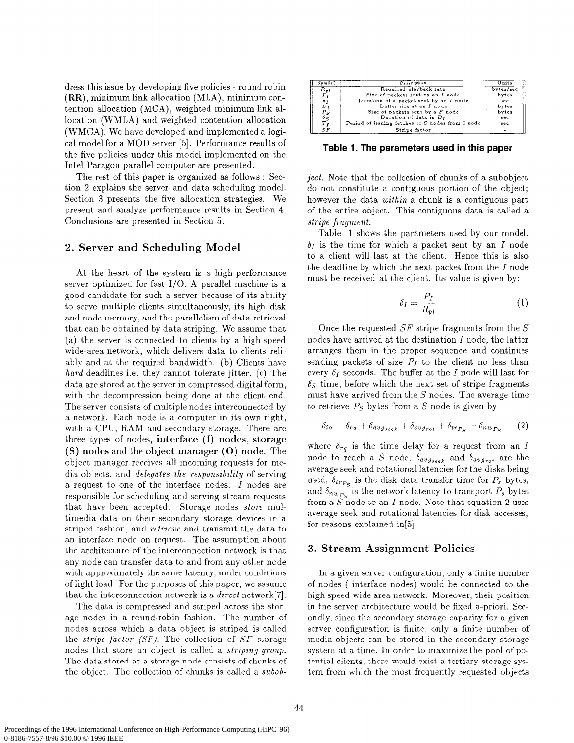dress this issue by developing five policies - round robin (RR), minimum link allocation (MLA), minimum contention allocation (MCA), weighted minimum link allocation (WMLA) and weighted contention allocation (WMCA). We have developed and implemented a logical model for a MOD server [5]. Performance results of the five policies under this model implemented on the Intel Paragon parallel computer are presented.

The rest of this paper is organized as follows : Section 2 explains the server and data scheduling model. Section 3 presents the five allocation strategies. We present and analyze performance results in Section 4. Conclusions are presented in Section 5.

# 2. Server and Scheduling Model

At the heart of the system is a high-performance server optimized for fast I/O. A parallel machine is a good candidate for such a server because of its ability to serve multiple clients simultaneously, its high disk and node memory, and the parallelism of data retrieval that can be obtained by data striping. We assume that (a) the server is connected to clients by a high-speed wide-area network, which delivers data to clients reliably and at the required bandwidth. (b) Clients have hard deadlines i.e. they cannot tolerate jitter. (c) The data are stored at the server in compressed digital form, with the decompression being done at the client end. The server consists of multiple nodes interconnected by a network. Each node is a computer in its own right, with a CPU, RAM and secondary storage. There are three types of nodes, interface (I) nodes, storage (S) nodes and the object manager (0) node. The object manager receives all incoming requests for media objects, and *delegates the responsibility* of serving a request to one of the interface nodes. I nodes are responsible for scheduling and serving stream requests that have been accepted. Storage nodes store multimedia data on their secondary storage devices in a striped fashion, and *retrieve* and transmit the data to an interface node on request. The assumption about the architecture of the interconnection network is that any node can transfer data to and from any other node with approximately the same latency, under conditions of light load. For the purposes of this paper, we assume that the interconnection network is a *direct* network[7].

The data is compressed and striped across the stor age nodes in a round-robin fashion. The number of nodes across which a data object is striped is called the stripe factor  $(SF)$ . The collection of  $SF$  storage nodes that store an object is called a striping group. The data stored at a storage node consists of chunks of the object. The collection of chunks is called a subob-

| um to L                           | Description                                      | Units     |
|-----------------------------------|--------------------------------------------------|-----------|
| $\frac{R_{F}l}{P_{F}}$            | Required playback rate                           | bytes/sec |
|                                   | Size of packets sent by an I node                | bytes     |
|                                   | Duration of a packet sent by an I node           | sec       |
| $B_I$                             | Buffer size at an I node                         | bytes     |
| $\frac{\overline{P_S}}{\delta_S}$ | Size of packets sent by a S node                 | bytes     |
|                                   | Duration of data in $B_I$                        | sec       |
|                                   | Period of issuing fetches to S nodes from I node | sec       |
| SF                                | Stripe factor                                    |           |

Table 1. The parameters used in this paper

ject. Note that the collection of chunks of a subobject do not constitute a contiguous portion of the object; however the data *within* a chunk is a contiguous part of the entire object. This contiguous data is called a stripe fragment.

Table 1 shows the parameters used by our model.  $\delta_I$  is the time for which a packet sent by an I node to a client will last at the client. Hence this is also the deadline by which the next packet from the  $I$  node must be received at the client. Its value is given by:

$$
\delta_I = \frac{P_I}{R_{pl}}\tag{1}
$$

Once the requested  $SF$  stripe fragments from the  $S$ nodes have arrived at the destination  $I$  node, the latter arranges them in the proper sequence and continues sending packets of size  $P_I$  to the client no less than every  $\delta_I$  seconds. The buffer at the I node will last for  $\delta_S$  time, before which the next set of stripe fragments must have arrived from the  $S$  nodes. The average time to retrieve  $P<sub>S</sub>$  bytes from a S node is given by

$$
\delta_{io} = \delta_{rq} + \delta_{avg_{seek}} + \delta_{avg_{rot}} + \delta_{tr_{PS}} + \delta_{nw_{PS}} \tag{2}
$$

where  $\delta_{rq}$  is the time delay for a request from an I node to reach a S node,  $\delta_{avg_{serk}}$  and  $\delta_{avg_{rot}}$  are the average seek and rotational latencies for the disks being used,  $\delta_{tr_{P_S}}$  is the disk data transfer time for  $P_s$  bytes, and  $\delta_{n w_{P_S}}$  is the network latency to transport  $P_s$  bytes from a  $S$  node to an I node. Note that equation 2 uses average seek and rotational latencies for disk accesses, for reasons explained in[5].

# 3. Stream Assignment Policies

In a given server configuration, only a finite number of nodes ( interface nodes) would be connected to the high speed wide area network. Moreover, their position in the server architecture would be fixed a-priori. Sec ondly, since the secondary storage capacity for a given server configuration is finite, only a finite number of media objects can be stored in the secondary storage system at a time. In order to maximize the pool of potential clients, there would exist a tertiary storage system from which the most frequently requested objects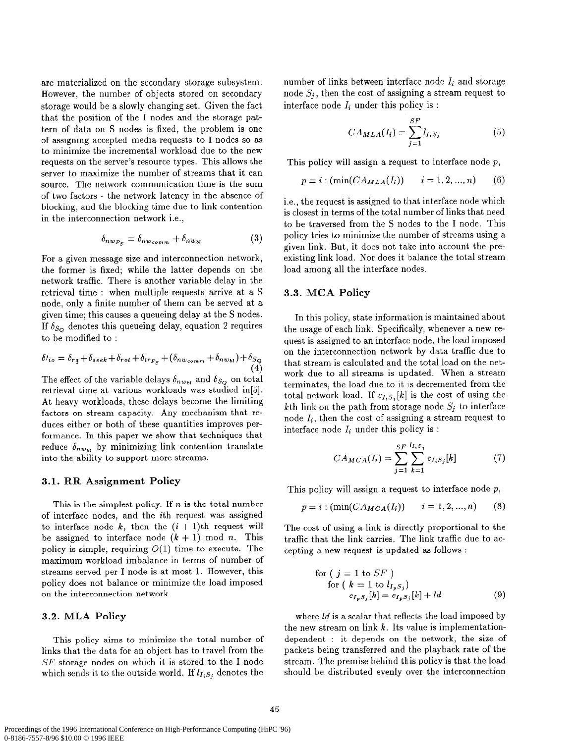are materialized on the secondary storage subsystem. However, the number of objects stored on secondary storage would be a slowly changing set. Given the fact that the position of the I nodes and the storage pattern of data on S nodes is fixed, the problem is one of assigning accepted media requests to I nodes so as to minimize the incremental workload due to the new requests on the server's resource types. This allows the server to maximize the number of streams that it can source. The network communication time is the sum of two factors - the network latency in the absence of blocking, and the blocking time due to link contention in the interconnection network i.e.,

$$
\delta_{nw_{P_S}} = \delta_{nw_{comm}} + \delta_{nw_{bl}} \tag{3}
$$

For a given message size and interconnection network, the former is fixed; while the latter depends on the network traffic. There is another variable delay in the retrieval time : when multiple requests arrive at a S node, only a finite number of them can be served at a given time; this causes a queueing delay at the S nodes. If  $\delta_{S_O}$  denotes this queueing delay, equation 2 requires to be modified to :

$$
\delta l_{io} = \delta_{rq} + \delta_{seek} + \delta_{rot} + \delta_{tr_{P_S}} + (\delta_{nw_{comm}} + \delta_{nw_{bl}}) + \delta_{S_Q}
$$
\n
$$
\tag{4}
$$

The effect of the variable delays  $\delta_{n w_{bl}}$  and  $\delta_{S_O}$  on tota retrieval time at various workloads was studied in[5]. At heavy workloads, these delays become the limiting factors on stream capacity. Any mechanism that reduces either or both of these quantities improves performance. In this paper we show that techniques that reduce  $\delta_{n w_{bl}}$  by minimizing link contention translate into the ability to support more streams.

### 3.1. RR Assignment Policy

This is the simplest policy. If  $n$  is the total number of interface nodes, and the ith request was assigned to interface node k, then the  $(i + 1)$ th request will be assigned to interface node  $(k + 1)$  mod n. This policy is simple, requiring  $O(1)$  time to execute. The maximum workload imbalance in terms of number of streams served per I node is at most 1. However, this policy does not balance or minimize the load imposed on the interconnection network.

### 3.2. MLA Policy

This policy aims to minimize the total number of links that the data for an object has to travel from the SF storage nodes on which it is stored to the I node which sends it to the outside world. If  $l_{I_iS_j}$  denotes the number of links between interface node  $I_i$  and storage node  $S_i$ , then the cost of assigning a stream request to interface node  $I_i$  under this policy is :

$$
CA_{MLA}(I_i) = \sum_{j=1}^{SF} l_{I_iS_j}
$$
 (5)

This policy will assign a request to interface node  $p$ ,

$$
p = i : (\min(CA_{MLA}(I_i)) \qquad i = 1, 2, ..., n) \tag{6}
$$

i.e., the request is assigned to that interface node which is closest in terms of the total number of links that need to be traversed from the S nodes to the I node. This policy tries to minimize the number of streams using a given link. But, it does not take into account the preexisting link load. Nor does it balance the total stream load among all the interface nodes.

# 3.3. MCA Policy

In this policy, state information is maintained about the usage of each link. Specifically, whenever a new request is assigned to an interface node, the load imposed on the interconnection network by data traffic due to that stream is calculated and the total load on the network due to all streams is updated. When a stream terminates, the load due to it is decremented from the total network load. If  $c_{I_iS_j}[k]$  is the cost of using the kth link on the path from storage node  $S_j$  to interface node  $I_i$ , then the cost of assigning a stream request to interface node  $I_i$  under this policy is :

$$
CA_{MCA}(I_i) = \sum_{j=1}^{SF} \sum_{k=1}^{I_{I_i S_j}} c_{I_i S_j}[k]
$$
(7)

This policy will assign a request to interface node p,

$$
p = i : (\min(CA_{MCA}(I_i)) \qquad i = 1, 2, ..., n) \qquad (8)
$$

The cost of using a link is directly proportional to the traffic that the link carries. The link traffic due to accepting a new request is updated as follows :

$$
\begin{aligned}\n\text{for } \left( \ j=1 \text{ to } SF \ \right) \\
\text{for } \left( \ k=1 \text{ to } l_{I_pS_j} \right) \\
c_{I_pS_j}[k] &= c_{I_pS_j}[k] + ld\n\end{aligned} \tag{9}
$$

where  $ld$  is a scalar that reflects the load imposed by the new stream on link  $k$ . Its value is implementationdependent : it depends on the network, the size of packets being transferred and the playback rate of the stream. The premise behind this policy is that the load should be distributed evenly over the interconnection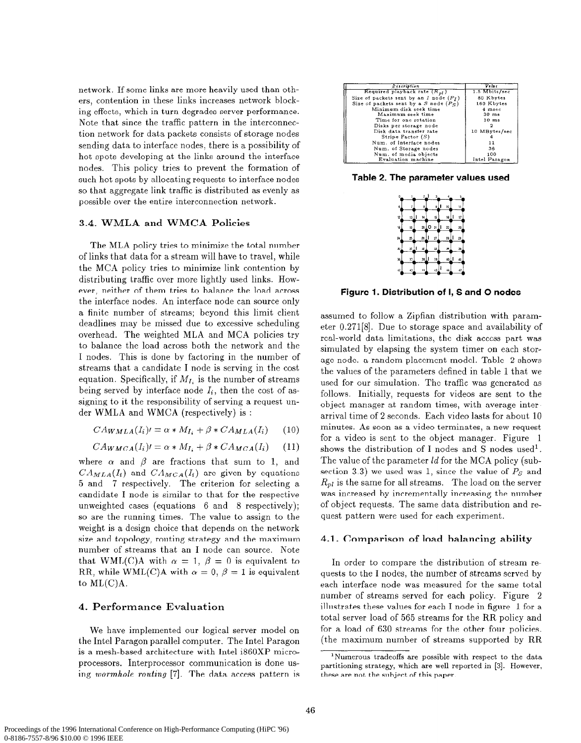network. If some links are more heavily used than others, contention in these links increases network blocking effects, which in turn degrades server performance. Note that since the traffic pattern in the interconnection network for data packets consists of storage nodes sending data to interface nodes, there is a possibility of hot spots developing at the links around the interface nodes. This policy tries to prevent the formation of such hot spots by allocating requests to interface nodes so that aggregate link traffic is distributed as evenly as possible over the entire interconnection network.

### 3.4. WMLA and WMCA Policies

The MLA policy tries to minimize the total number of links that data for a stream will have to travel, while the MCA policy tries to minimize link contention by distributing traffic over more lightly used links. However, neither of them tries to balance the load across the interface nodes. An interface node can source only a finite number of streams; beyond this limit client deadlines may be missed due to excessive scheduling overhead. The weighted MLA and MCA policies try to balance the load across both the network and the I nodes. This is done by factoring in the number of streams that a candidate I node is serving in the cost equation. Specifically, if  $M_{I_i}$  is the number of streams being served by interface node  $I_i$ , then the cost of assigning to it the responsibility of serving a request under WMLA and WMCA (respectively) is :

$$
CA_{WMLA}(I_i) = \alpha * M_{I_i} + \beta * CA_{MLA}(I_i) \tag{10}
$$

$$
CA_{WMCA}(I_i)t = \alpha * M_{I_i} + \beta * CA_{MCA}(I_i) \qquad (11)
$$

where  $\alpha$  and  $\beta$  are fractions that sum to 1, and  $CA_{MLA}(I_i)$  and  $CA_{MCA}(I_i)$  are given by equations 5 and 7 respectively. The criterion for selecting a candidate I node is similar to that for the respective unweighted cases (equations 6 and 8 respectively); so are the running times. The value to assign to the weight is a design choice that depends on the network size and topology, routing strategy and the maximum number of streams that an I node can source. Note that WML(C)A with  $\alpha = 1$ ,  $\beta = 0$  is equivalent to RR, while WML(C)A with  $\alpha = 0$ ,  $\beta = 1$  is equivalent to  $ML(C)A$ .

# 4. Performance Evaluation

We have implemented our logical server model on the Intel Paragon parallel computer. The Intel Paragon is a mesh-based architecture with Intel i860XP microprocessors. Interprocessor communication is done using wormhole routing [7]. The data access pattern is

| <b>Description</b>                          | Valve         |
|---------------------------------------------|---------------|
| Required playback rate $(R_{nl})$           | 1.5 Mbits/sec |
| Size of packets sent by an $I$ node $(P_I)$ | 80 Kbytes     |
| Size of packets sent by a S node $(PS)$     | 160 Kbytes    |
| Minimum disk seek time                      | 4 msec        |
| Maximum seek time                           | $30$ ms       |
| Time for one rotation                       | $10$ ms       |
| Disks per storage node                      |               |
| Disk data transfer rate                     | 10 MBytes/sec |
| Stripe Factor $(S)$                         |               |
| Num. of Interface nodes                     | 11            |
| Num. of Storage nodes                       | 36            |
| Num. of media objects                       | 100           |
| Evaluation machine                          | Intel Paragon |

Table 2. The parameter values used

| ¢,  |    | $\overline{\mathbf{c}}$ | 3.                            |    | $\mathbf{s}_i$ |
|-----|----|-------------------------|-------------------------------|----|----------------|
| 6   | 7  | θ.                      | 9                             | 10 | 11             |
| 12  | 13 | 14<br>ı                 | 15                            | 16 | 17             |
| 18  | 19 | 20                      | ĹΟ<br>$\overline{\mathbf{2}}$ | 22 | 23             |
| 24  | 25 | 26                      | 27<br>ı                       | 28 | 29             |
| 30  | 31 | æ<br>ı                  | 33                            | 34 | 36             |
| 36, | 37 | 38 L I                  | 39.                           | 40 | Ħ<br>41        |
| 42  | 43 | 44                      | 45                            | 46 | 47             |
|     |    |                         |                               |    |                |

Figure 1. Distribution of I, S and O nodes

assumed to follow a Zipfian distribution with parameter  $0.271[8]$ . Due to storage space and availability of real-world data limitations, the disk access part was simulated by elapsing the system timer on each storage node. a random placement model. Table 2 shows the values of the parameters defined in table 1 that we used for our simulation. The traffic was generated as follows. Initially, requests for videos are sent to the object manager at random times, with average interarrival time of 2 seconds. Each video lasts for about 10 minutes. As soon as a video terminates, a new request for a video is sent to the object manager. Figure 1 shows the distribution of I nodes and S nodes used<sup>1</sup>. The value of the parameter *ld* for the MCA policy (subsection 3.3) we used was 1, since the value of  $P<sub>S</sub>$  and  $R_{nl}$  is the same for all streams. The load on the server was increased by incrementally increasing the number of object requests. The same data distribution and request pattern were used for each experiment.

### 4.1. Comparison of load balancing ability

In order to compare the distribution of stream requests to the I nodes, the number of streams served by each interface node was measured for the same total number of streams served for each policy. Figure 2 illustrates these values for each I node in figure 1 for a total server load of 565 streams for the RR policy and for a load of 630 streams for the other four policies. (the maximum number of streams supported by RR

<sup>&</sup>lt;sup>1</sup>Numerous tradeoffs are possible with respect to the data partitioning strategy, which are well reported in [3]. However, these are not the subject of this paper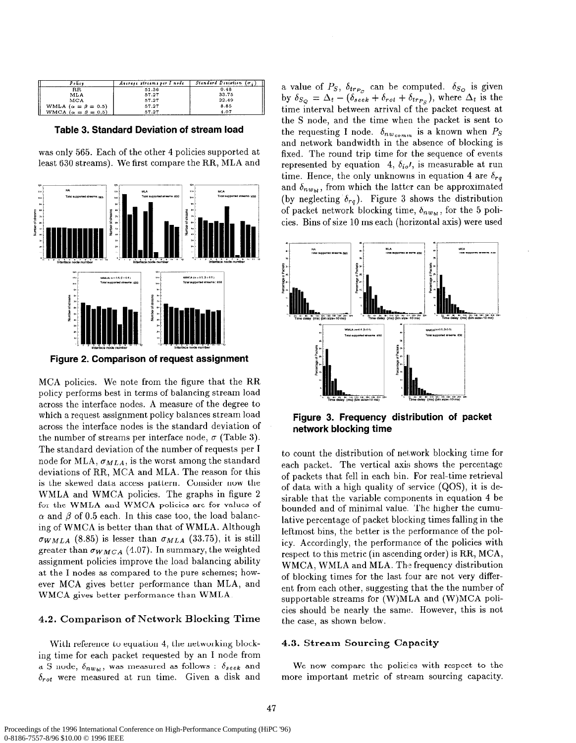| Policy                        | Auerase streams per I node | Standard Desigtion (o. |
|-------------------------------|----------------------------|------------------------|
| RR.                           | 51.36                      | 0.48                   |
| MLA                           | 57.27                      | 33.75                  |
| MCA                           | 57.27                      | 22.49                  |
| WMLA $(\alpha = \beta = 0.5)$ | 57.27                      | 8.85                   |
| WMCA $(\alpha = \beta = 0.5)$ | 57.27                      | 4.07                   |

Table 3. Standard Deviation of stream load

was only 565. Each of the other 4 policies supported at least 630 streams). We first compare the RR, MLA and



Figure 2. Comparison of request assignment

MCA policies. We note from the figure that the RR policy performs best in terms of balancing stream load across the interface nodes. A measure of the degree to which a request assignment policy balances stream load across the interface nodes is the standard deviation of the number of streams per interface node,  $\sigma$  (Table 3). The standard deviation of the number of requests per I node for MLA,  $\sigma_{MLA}$ , is the worst among the standard deviations of RR, MCA and MLA. The reason for this is the skewed data access pattern. Consider now the WMLA and WMCA policies. The graphs in figure 2 for the WMLA and WMCA policies are for values of  $\alpha$  and  $\beta$  of 0.5 each. In this case too, the load balancing of WMCA is better than that of WMLA. Although  $\sigma_{WMLA}$  (8.85) is lesser than  $\sigma_{MLA}$  (33.75), it is still greater than  $\sigma_{WMCA}$  (4.07). In summary, the weighted assignment policies improve the load balancing ability at the I nodes as compared to the pure schemes; however MCA gives better performance than MLA, and WMCA gives better performance than WMLA.

# 4.2. Comparison of Network Blocking Time

With reference to equation 4, the networking blocking time for each packet requested by an I node from a S node,  $\delta_{n w_{bl}}$ , was measured as follows :  $\delta_{seek}$  and  $\delta_{rot}$  were measured at run time. Given a disk and

a value of  $P_S$ ,  $\delta_{tr_{P_S}}$  can be computed.  $\delta_{S_Q}$  is given by  $\delta_{S_Q} = \Delta_t - (\delta_{seek} + \delta_{rot} + \delta_{tr_{P_Q}})$ , where  $\Delta_t$  is the time interval between arrival of the packet request at the S node, and the time when the packet is sent to the requesting I node.  $\delta_{nw_{comm}}$  is a known when  $P_S$ and network bandwidth in the absence of blocking is fixed. The round trip time for the sequence of events represented by equation 4,  $\delta_{i}$ , is measurable at run time. Hence, the only unknowns in equation 4 are  $\delta_{rq}$ and  $\delta_{n w_{bl}}$ , from which the latter can be approximated (by neglecting  $\delta_{rq}$ ). Figure 3 shows the distribution of packet network blocking time,  $\delta_{n w_{bl}}$ , for the 5 polities. Bins of size 10 ms each (horizontal axis) were used



Figure 3. Frequency distribution of packet network blocking time

to count the distribution of network blocking time for each packet. The vertical axis shows the percentage of packets that fell in each bin. For real-time retrieval of data with a high quality of service  $(QOS)$ , it is desirable that the variable components in equation 4 be bounded and of minimal value. The higher the cumulative percentage of packet blocking times falling in the leftmost bins, the better is the performance of the poiicy. Accordingly, the performance of the policies with respect to this metric (in ascending order) is RR, MCA, WMCA, WMLA and MLA. The frequency distribution of blocking times for the last four are not very different from each other, suggesting that the the number of supportable streams for (W)MLA and (W)MCA policies should be nearly the same. However, this is not the case, as shown beiow.

#### 4.3. Stream Sourcing Capacity

We now compare the policies with respect to the more important metric of stream sourcing capacity.